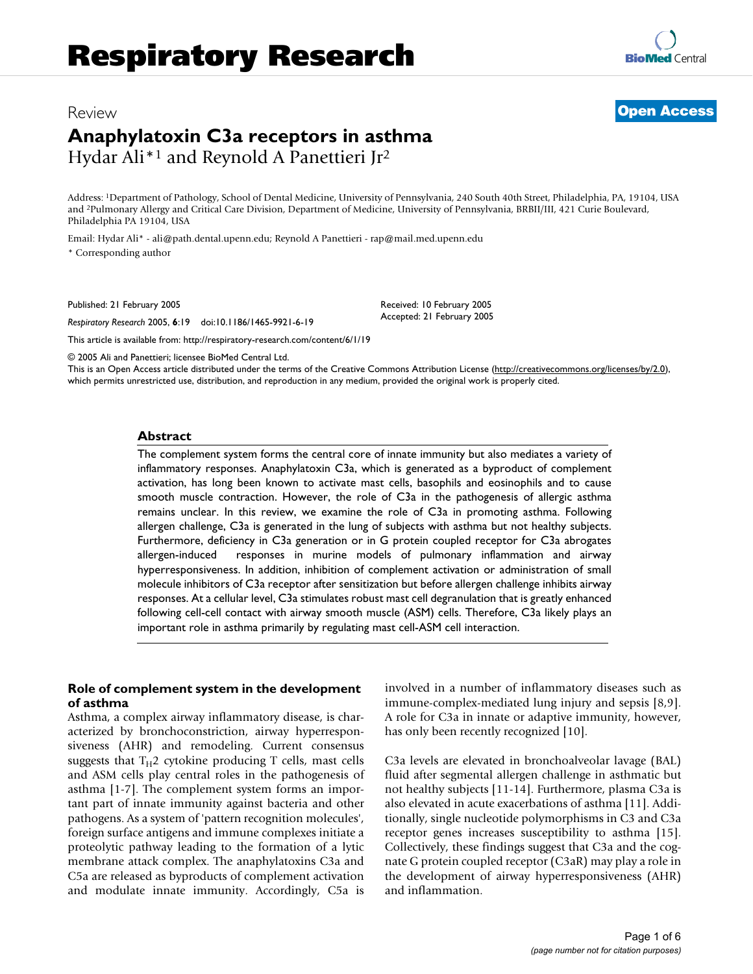# Review **[Open Access](http://www.biomedcentral.com/info/about/charter/)**

# **Anaphylatoxin C3a receptors in asthma** Hydar Ali\*1 and Reynold A Panettieri Jr2

Address: 1Department of Pathology, School of Dental Medicine, University of Pennsylvania, 240 South 40th Street, Philadelphia, PA, 19104, USA and 2Pulmonary Allergy and Critical Care Division, Department of Medicine, University of Pennsylvania, BRBII/III, 421 Curie Boulevard, Philadelphia PA 19104, USA

Email: Hydar Ali\* - ali@path.dental.upenn.edu; Reynold A Panettieri - rap@mail.med.upenn.edu

\* Corresponding author

Published: 21 February 2005

*Respiratory Research* 2005, **6**:19 doi:10.1186/1465-9921-6-19

[This article is available from: http://respiratory-research.com/content/6/1/19](http://respiratory-research.com/content/6/1/19)

© 2005 Ali and Panettieri; licensee BioMed Central Ltd.

This is an Open Access article distributed under the terms of the Creative Commons Attribution License [\(http://creativecommons.org/licenses/by/2.0\)](http://creativecommons.org/licenses/by/2.0), which permits unrestricted use, distribution, and reproduction in any medium, provided the original work is properly cited.

Received: 10 February 2005 Accepted: 21 February 2005

#### **Abstract**

The complement system forms the central core of innate immunity but also mediates a variety of inflammatory responses. Anaphylatoxin C3a, which is generated as a byproduct of complement activation, has long been known to activate mast cells, basophils and eosinophils and to cause smooth muscle contraction. However, the role of C3a in the pathogenesis of allergic asthma remains unclear. In this review, we examine the role of C3a in promoting asthma. Following allergen challenge, C3a is generated in the lung of subjects with asthma but not healthy subjects. Furthermore, deficiency in C3a generation or in G protein coupled receptor for C3a abrogates allergen-induced responses in murine models of pulmonary inflammation and airway hyperresponsiveness. In addition, inhibition of complement activation or administration of small molecule inhibitors of C3a receptor after sensitization but before allergen challenge inhibits airway responses. At a cellular level, C3a stimulates robust mast cell degranulation that is greatly enhanced following cell-cell contact with airway smooth muscle (ASM) cells. Therefore, C3a likely plays an important role in asthma primarily by regulating mast cell-ASM cell interaction.

## **Role of complement system in the development of asthma**

Asthma, a complex airway inflammatory disease, is characterized by bronchoconstriction, airway hyperresponsiveness (AHR) and remodeling. Current consensus suggests that  $T_H2$  cytokine producing T cells, mast cells and ASM cells play central roles in the pathogenesis of asthma [1-7]. The complement system forms an important part of innate immunity against bacteria and other pathogens. As a system of 'pattern recognition molecules', foreign surface antigens and immune complexes initiate a proteolytic pathway leading to the formation of a lytic membrane attack complex. The anaphylatoxins C3a and C5a are released as byproducts of complement activation and modulate innate immunity. Accordingly, C5a is involved in a number of inflammatory diseases such as immune-complex-mediated lung injury and sepsis [8,9]. A role for C3a in innate or adaptive immunity, however, has only been recently recognized [10].

C3a levels are elevated in bronchoalveolar lavage (BAL) fluid after segmental allergen challenge in asthmatic but not healthy subjects [11-14]. Furthermore, plasma C3a is also elevated in acute exacerbations of asthma [11]. Additionally, single nucleotide polymorphisms in C3 and C3a receptor genes increases susceptibility to asthma [15]. Collectively, these findings suggest that C3a and the cognate G protein coupled receptor (C3aR) may play a role in the development of airway hyperresponsiveness (AHR) and inflammation.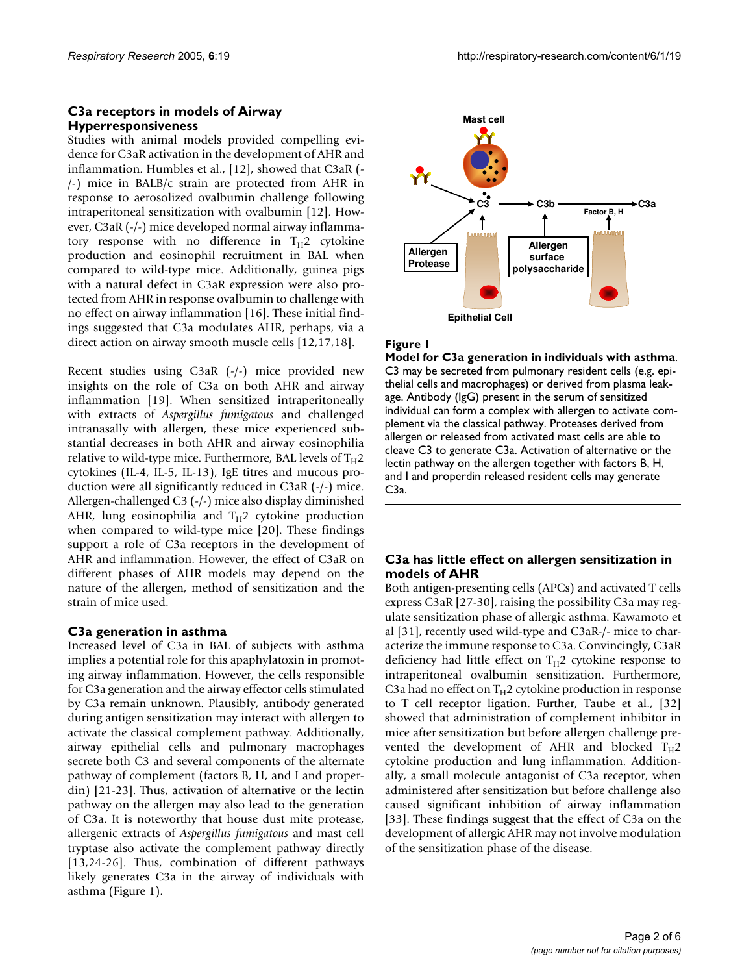## **C3a receptors in models of Airway Hyperresponsiveness**

Studies with animal models provided compelling evidence for C3aR activation in the development of AHR and inflammation. Humbles et al., [12], showed that C3aR (- /-) mice in BALB/c strain are protected from AHR in response to aerosolized ovalbumin challenge following intraperitoneal sensitization with ovalbumin [12]. However, C3aR (-/-) mice developed normal airway inflammatory response with no difference in  $T_H$ 2 cytokine production and eosinophil recruitment in BAL when compared to wild-type mice. Additionally, guinea pigs with a natural defect in C3aR expression were also protected from AHR in response ovalbumin to challenge with no effect on airway inflammation [16]. These initial findings suggested that C3a modulates AHR, perhaps, via a direct action on airway smooth muscle cells [12,17,18].

Recent studies using C3aR (-/-) mice provided new insights on the role of C3a on both AHR and airway inflammation [19]. When sensitized intraperitoneally with extracts of *Aspergillus fumigatous* and challenged intranasally with allergen, these mice experienced substantial decreases in both AHR and airway eosinophilia relative to wild-type mice. Furthermore, BAL levels of  $T_H2$ cytokines (IL-4, IL-5, IL-13), IgE titres and mucous production were all significantly reduced in C3aR (-/-) mice. Allergen-challenged C3 (-/-) mice also display diminished AHR, lung eosinophilia and  $T_H2$  cytokine production when compared to wild-type mice [20]. These findings support a role of C3a receptors in the development of AHR and inflammation. However, the effect of C3aR on different phases of AHR models may depend on the nature of the allergen, method of sensitization and the strain of mice used.

# **C3a generation in asthma**

Increased level of C3a in BAL of subjects with asthma implies a potential role for this apaphylatoxin in promoting airway inflammation. However, the cells responsible for C3a generation and the airway effector cells stimulated by C3a remain unknown. Plausibly, antibody generated during antigen sensitization may interact with allergen to activate the classical complement pathway. Additionally, airway epithelial cells and pulmonary macrophages secrete both C3 and several components of the alternate pathway of complement (factors B, H, and I and properdin) [21-23]. Thus, activation of alternative or the lectin pathway on the allergen may also lead to the generation of C3a. It is noteworthy that house dust mite protease, allergenic extracts of *Aspergillus fumigatous* and mast cell tryptase also activate the complement pathway directly [13,24-26]. Thus, combination of different pathways likely generates C3a in the airway of individuals with asthma (Figure 1).



## **Figure 1**

**Model for C3a generation in individuals with asthma**. C3 may be secreted from pulmonary resident cells (e.g. epithelial cells and macrophages) or derived from plasma leakage. Antibody (IgG) present in the serum of sensitized individual can form a complex with allergen to activate complement via the classical pathway. Proteases derived from allergen or released from activated mast cells are able to cleave C3 to generate C3a. Activation of alternative or the lectin pathway on the allergen together with factors B, H, and I and properdin released resident cells may generate C3a.

# **C3a has little effect on allergen sensitization in models of AHR**

Both antigen-presenting cells (APCs) and activated T cells express C3aR [27-30], raising the possibility C3a may regulate sensitization phase of allergic asthma. Kawamoto et al [31], recently used wild-type and C3aR-/- mice to characterize the immune response to C3a. Convincingly, C3aR deficiency had little effect on  $T_H2$  cytokine response to intraperitoneal ovalbumin sensitization. Furthermore, C3a had no effect on  $T_H2$  cytokine production in response to T cell receptor ligation. Further, Taube et al., [32] showed that administration of complement inhibitor in mice after sensitization but before allergen challenge prevented the development of AHR and blocked  $T_H$ 2 cytokine production and lung inflammation. Additionally, a small molecule antagonist of C3a receptor, when administered after sensitization but before challenge also caused significant inhibition of airway inflammation [33]. These findings suggest that the effect of C3a on the development of allergic AHR may not involve modulation of the sensitization phase of the disease.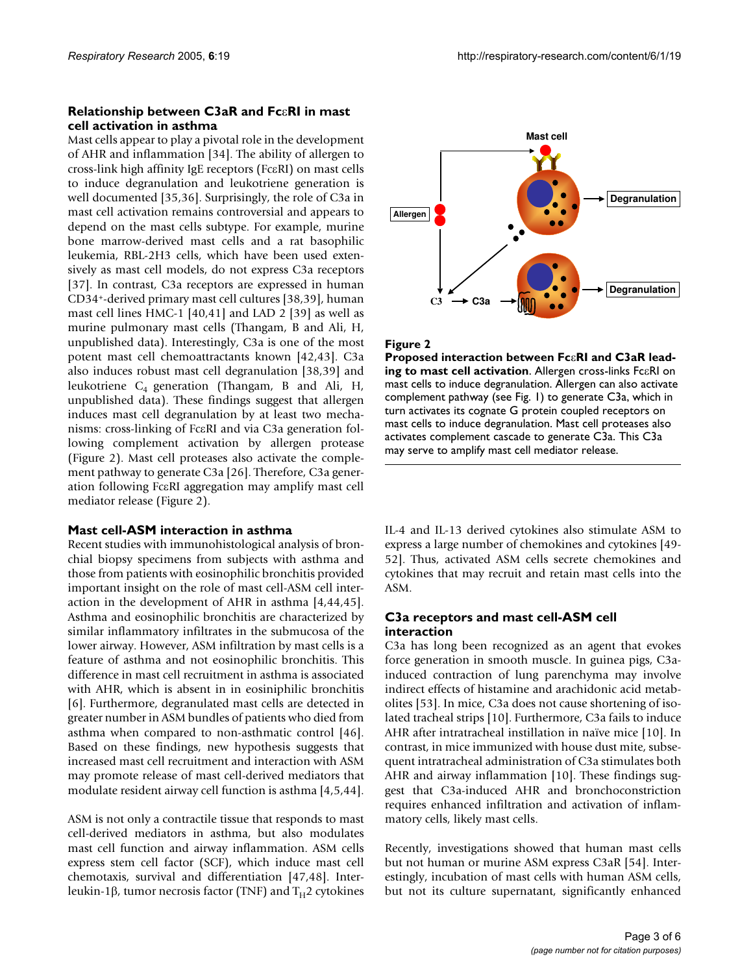## **Relationship between C3aR and Fc**ε**RI in mast cell activation in asthma**

Mast cells appear to play a pivotal role in the development of AHR and inflammation [34]. The ability of allergen to cross-link high affinity IgE receptors (FcεRI) on mast cells to induce degranulation and leukotriene generation is well documented [35,36]. Surprisingly, the role of C3a in mast cell activation remains controversial and appears to depend on the mast cells subtype. For example, murine bone marrow-derived mast cells and a rat basophilic leukemia, RBL-2H3 cells, which have been used extensively as mast cell models, do not express C3a receptors [37]. In contrast, C3a receptors are expressed in human CD34+-derived primary mast cell cultures [38,39], human mast cell lines HMC-1 [40,41] and LAD 2 [39] as well as murine pulmonary mast cells (Thangam, B and Ali, H, unpublished data). Interestingly, C3a is one of the most potent mast cell chemoattractants known [42,43]. C3a also induces robust mast cell degranulation [38,39] and leukotriene  $C_4$  generation (Thangam, B and Ali, H, unpublished data). These findings suggest that allergen induces mast cell degranulation by at least two mechanisms: cross-linking of FcεRI and via C3a generation following complement activation by allergen protease (Figure 2). Mast cell proteases also activate the complement pathway to generate C3a [26]. Therefore, C3a generation following FcεRI aggregation may amplify mast cell mediator release (Figure 2).

## **Mast cell-ASM interaction in asthma**

Recent studies with immunohistological analysis of bronchial biopsy specimens from subjects with asthma and those from patients with eosinophilic bronchitis provided important insight on the role of mast cell-ASM cell interaction in the development of AHR in asthma [4,44,45]. Asthma and eosinophilic bronchitis are characterized by similar inflammatory infiltrates in the submucosa of the lower airway. However, ASM infiltration by mast cells is a feature of asthma and not eosinophilic bronchitis. This difference in mast cell recruitment in asthma is associated with AHR, which is absent in in eosiniphilic bronchitis [6]. Furthermore, degranulated mast cells are detected in greater number in ASM bundles of patients who died from asthma when compared to non-asthmatic control [46]. Based on these findings, new hypothesis suggests that increased mast cell recruitment and interaction with ASM may promote release of mast cell-derived mediators that modulate resident airway cell function is asthma [4,5,44].

ASM is not only a contractile tissue that responds to mast cell-derived mediators in asthma, but also modulates mast cell function and airway inflammation. ASM cells express stem cell factor (SCF), which induce mast cell chemotaxis, survival and differentiation [47,48]. Interleukin-1β, tumor necrosis factor (TNF) and  $T_H$ 2 cytokines



#### **Figure 2**

**Proposed interaction between Fc**ε**RI and C3aR leading to mast cell activation**. Allergen cross-links FcεRI on mast cells to induce degranulation. Allergen can also activate complement pathway (see Fig. 1) to generate C3a, which in turn activates its cognate G protein coupled receptors on mast cells to induce degranulation. Mast cell proteases also activates complement cascade to generate C3a. This C3a may serve to amplify mast cell mediator release.

IL-4 and IL-13 derived cytokines also stimulate ASM to express a large number of chemokines and cytokines [49- 52]. Thus, activated ASM cells secrete chemokines and cytokines that may recruit and retain mast cells into the ASM.

## **C3a receptors and mast cell-ASM cell interaction**

C3a has long been recognized as an agent that evokes force generation in smooth muscle. In guinea pigs, C3ainduced contraction of lung parenchyma may involve indirect effects of histamine and arachidonic acid metabolites [53]. In mice, C3a does not cause shortening of isolated tracheal strips [10]. Furthermore, C3a fails to induce AHR after intratracheal instillation in naïve mice [10]. In contrast, in mice immunized with house dust mite, subsequent intratracheal administration of C3a stimulates both AHR and airway inflammation [10]. These findings suggest that C3a-induced AHR and bronchoconstriction requires enhanced infiltration and activation of inflammatory cells, likely mast cells.

Recently, investigations showed that human mast cells but not human or murine ASM express C3aR [54]. Interestingly, incubation of mast cells with human ASM cells, but not its culture supernatant, significantly enhanced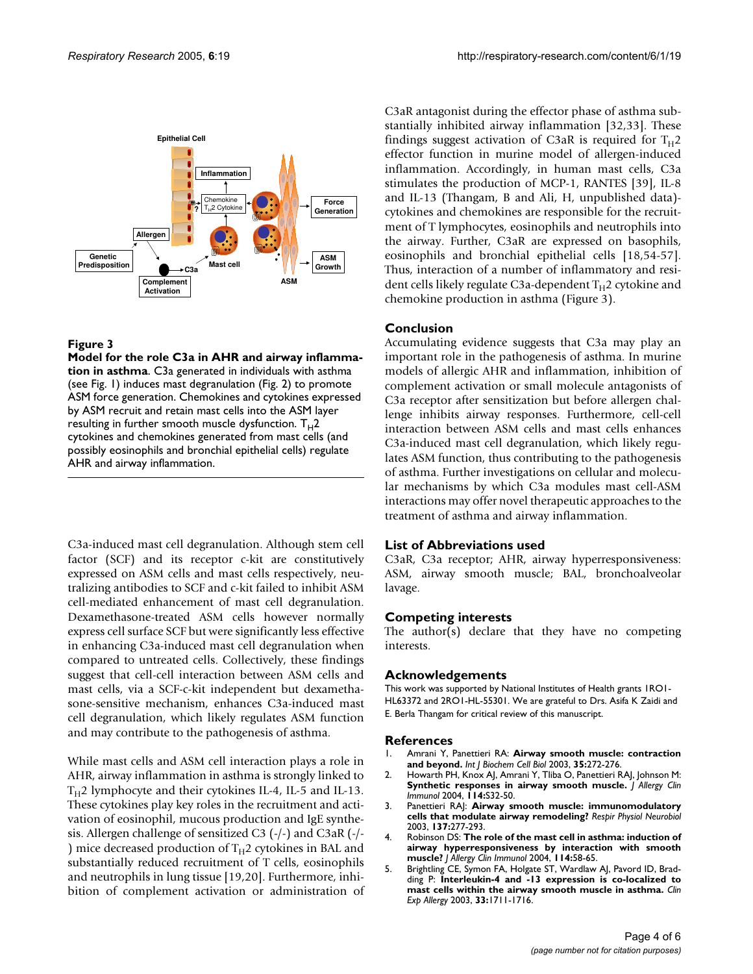

#### **Figure 3**

**Model for the role C3a in AHR and airway inflammation in asthma**. C3a generated in individuals with asthma (see Fig. 1) induces mast degranulation (Fig. 2) to promote ASM force generation. Chemokines and cytokines expressed by ASM recruit and retain mast cells into the ASM layer resulting in further smooth muscle dysfunction.  $T_H$ 2 cytokines and chemokines generated from mast cells (and possibly eosinophils and bronchial epithelial cells) regulate AHR and airway inflammation.

C3a-induced mast cell degranulation. Although stem cell factor (SCF) and its receptor c-kit are constitutively expressed on ASM cells and mast cells respectively, neutralizing antibodies to SCF and c-kit failed to inhibit ASM cell-mediated enhancement of mast cell degranulation. Dexamethasone-treated ASM cells however normally express cell surface SCF but were significantly less effective in enhancing C3a-induced mast cell degranulation when compared to untreated cells. Collectively, these findings suggest that cell-cell interaction between ASM cells and mast cells, via a SCF-c-kit independent but dexamethasone-sensitive mechanism, enhances C3a-induced mast cell degranulation, which likely regulates ASM function and may contribute to the pathogenesis of asthma.

While mast cells and ASM cell interaction plays a role in AHR, airway inflammation in asthma is strongly linked to  $T_H$ 2 lymphocyte and their cytokines IL-4, IL-5 and IL-13. These cytokines play key roles in the recruitment and activation of eosinophil, mucous production and IgE synthesis. Allergen challenge of sensitized C3 (-/-) and C3aR (-/- ) mice decreased production of  $T_H$ 2 cytokines in BAL and substantially reduced recruitment of T cells, eosinophils and neutrophils in lung tissue [19,20]. Furthermore, inhibition of complement activation or administration of C3aR antagonist during the effector phase of asthma substantially inhibited airway inflammation [32,33]. These findings suggest activation of C3aR is required for  $T_H$ 2 effector function in murine model of allergen-induced inflammation. Accordingly, in human mast cells, C3a stimulates the production of MCP-1, RANTES [39], IL-8 and IL-13 (Thangam, B and Ali, H, unpublished data) cytokines and chemokines are responsible for the recruitment of T lymphocytes, eosinophils and neutrophils into the airway. Further, C3aR are expressed on basophils, eosinophils and bronchial epithelial cells [18,54-57]. Thus, interaction of a number of inflammatory and resident cells likely regulate C3a-dependent  $T_H$ 2 cytokine and chemokine production in asthma (Figure 3).

# **Conclusion**

Accumulating evidence suggests that C3a may play an important role in the pathogenesis of asthma. In murine models of allergic AHR and inflammation, inhibition of complement activation or small molecule antagonists of C3a receptor after sensitization but before allergen challenge inhibits airway responses. Furthermore, cell-cell interaction between ASM cells and mast cells enhances C3a-induced mast cell degranulation, which likely regulates ASM function, thus contributing to the pathogenesis of asthma. Further investigations on cellular and molecular mechanisms by which C3a modules mast cell-ASM interactions may offer novel therapeutic approaches to the treatment of asthma and airway inflammation.

## **List of Abbreviations used**

C3aR, C3a receptor; AHR, airway hyperresponsiveness: ASM, airway smooth muscle; BAL, bronchoalveolar lavage.

## **Competing interests**

The author(s) declare that they have no competing interests.

#### **Acknowledgements**

This work was supported by National Institutes of Health grants 1RO1- HL63372 and 2RO1-HL-55301. We are grateful to Drs. Asifa K Zaidi and E. Berla Thangam for critical review of this manuscript.

#### **References**

- 1. Amrani Y, Panettieri RA: **[Airway smooth muscle: contraction](http://www.ncbi.nlm.nih.gov/entrez/query.fcgi?cmd=Retrieve&db=PubMed&dopt=Abstract&list_uids=12531237) [and beyond.](http://www.ncbi.nlm.nih.gov/entrez/query.fcgi?cmd=Retrieve&db=PubMed&dopt=Abstract&list_uids=12531237)** *Int J Biochem Cell Biol* 2003, **35:**272-276.
- 2. Howarth PH, Knox AJ, Amrani Y, Tliba O, Panettieri RAJ, Johnson M: **[Synthetic responses in airway smooth muscle.](http://www.ncbi.nlm.nih.gov/entrez/query.fcgi?cmd=Retrieve&db=PubMed&dopt=Abstract&list_uids=15309017)** *J Allergy Clin Immunol* 2004, **114:**S32-50.
- 3. Panettieri RAJ: **[Airway smooth muscle: immunomodulatory](http://www.ncbi.nlm.nih.gov/entrez/query.fcgi?cmd=Retrieve&db=PubMed&dopt=Abstract&list_uids=14516732) [cells that modulate airway remodeling?](http://www.ncbi.nlm.nih.gov/entrez/query.fcgi?cmd=Retrieve&db=PubMed&dopt=Abstract&list_uids=14516732)** *Respir Physiol Neurobiol* 2003, **137:**277-293.
- 4. Robinson DS: **[The role of the mast cell in asthma: induction of](http://www.ncbi.nlm.nih.gov/entrez/query.fcgi?cmd=Retrieve&db=PubMed&dopt=Abstract&list_uids=15241345) [airway hyperresponsiveness by interaction with smooth](http://www.ncbi.nlm.nih.gov/entrez/query.fcgi?cmd=Retrieve&db=PubMed&dopt=Abstract&list_uids=15241345) [muscle?](http://www.ncbi.nlm.nih.gov/entrez/query.fcgi?cmd=Retrieve&db=PubMed&dopt=Abstract&list_uids=15241345)** *J Allergy Clin Immunol* 2004, **114:**58-65.
- 5. Brightling CE, Symon FA, Holgate ST, Wardlaw AJ, Pavord ID, Bradding P: **[Interleukin-4 and -13 expression is co-localized to](http://www.ncbi.nlm.nih.gov/entrez/query.fcgi?cmd=Retrieve&db=PubMed&dopt=Abstract&list_uids=14656359) [mast cells within the airway smooth muscle in asthma.](http://www.ncbi.nlm.nih.gov/entrez/query.fcgi?cmd=Retrieve&db=PubMed&dopt=Abstract&list_uids=14656359)** *Clin Exp Allergy* 2003, **33:**1711-1716.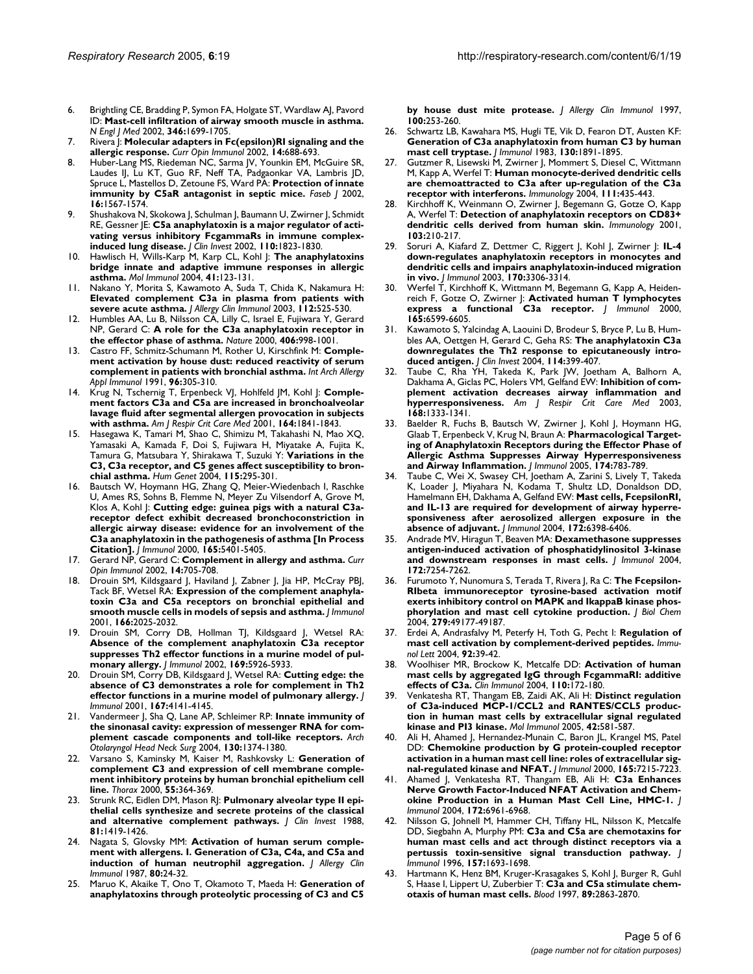- 6. Brightling CE, Bradding P, Symon FA, Holgate ST, Wardlaw AJ, Pavord ID: **[Mast-cell infiltration of airway smooth muscle in asthma.](http://www.ncbi.nlm.nih.gov/entrez/query.fcgi?cmd=Retrieve&db=PubMed&dopt=Abstract&list_uids=12037149)** *N Engl J Med* 2002, **346:**1699-1705.
- 7. Rivera J: **[Molecular adapters in Fc\(epsilon\)RI signaling and the](http://www.ncbi.nlm.nih.gov/entrez/query.fcgi?cmd=Retrieve&db=PubMed&dopt=Abstract&list_uids=12413516) [allergic response.](http://www.ncbi.nlm.nih.gov/entrez/query.fcgi?cmd=Retrieve&db=PubMed&dopt=Abstract&list_uids=12413516)** *Curr Opin Immunol* 2002, **14:**688-693.
- 8. Huber-Lang MS, Riedeman NC, Sarma JV, Younkin EM, McGuire SR, Laudes IJ, Lu KT, Guo RF, Neff TA, Padgaonkar VA, Lambris JD, Spruce L, Mastellos D, Zetoune FS, Ward PA: **[Protection of innate](http://www.ncbi.nlm.nih.gov/entrez/query.fcgi?cmd=Retrieve&db=PubMed&dopt=Abstract&list_uids=12374779) [immunity by C5aR antagonist in septic mice.](http://www.ncbi.nlm.nih.gov/entrez/query.fcgi?cmd=Retrieve&db=PubMed&dopt=Abstract&list_uids=12374779)** *Faseb J* 2002, **16:**1567-1574.
- 9. Shushakova N, Skokowa J, Schulman J, Baumann U, Zwirner J, Schmidt RE, Gessner JE: **[C5a anaphylatoxin is a major regulator of acti](http://www.ncbi.nlm.nih.gov/entrez/query.fcgi?cmd=Retrieve&db=PubMed&dopt=Abstract&list_uids=12488432)[vating versus inhibitory FcgammaRs in immune complex](http://www.ncbi.nlm.nih.gov/entrez/query.fcgi?cmd=Retrieve&db=PubMed&dopt=Abstract&list_uids=12488432)[induced lung disease.](http://www.ncbi.nlm.nih.gov/entrez/query.fcgi?cmd=Retrieve&db=PubMed&dopt=Abstract&list_uids=12488432)** *J Clin Invest* 2002, **110:**1823-1830.
- 10. Hawlisch H, Wills-Karp M, Karp CL, Kohl J: **[The anaphylatoxins](http://www.ncbi.nlm.nih.gov/entrez/query.fcgi?cmd=Retrieve&db=PubMed&dopt=Abstract&list_uids=15159057) [bridge innate and adaptive immune responses in allergic](http://www.ncbi.nlm.nih.gov/entrez/query.fcgi?cmd=Retrieve&db=PubMed&dopt=Abstract&list_uids=15159057) [asthma.](http://www.ncbi.nlm.nih.gov/entrez/query.fcgi?cmd=Retrieve&db=PubMed&dopt=Abstract&list_uids=15159057)** *Mol Immunol* 2004, **41:**123-131.
- 11. Nakano Y, Morita S, Kawamoto A, Suda T, Chida K, Nakamura H: **[Elevated complement C3a in plasma from patients with](http://www.ncbi.nlm.nih.gov/entrez/query.fcgi?cmd=Retrieve&db=PubMed&dopt=Abstract&list_uids=13679811) [severe acute asthma.](http://www.ncbi.nlm.nih.gov/entrez/query.fcgi?cmd=Retrieve&db=PubMed&dopt=Abstract&list_uids=13679811)** *J Allergy Clin Immunol* 2003, **112:**525-530.
- 12. Humbles AA, Lu B, Nilsson CA, Lilly C, Israel E, Fujiwara Y, Gerard NP, Gerard C: **[A role for the C3a anaphylatoxin receptor in](http://www.ncbi.nlm.nih.gov/entrez/query.fcgi?cmd=Retrieve&db=PubMed&dopt=Abstract&list_uids=10984054) [the effector phase of asthma.](http://www.ncbi.nlm.nih.gov/entrez/query.fcgi?cmd=Retrieve&db=PubMed&dopt=Abstract&list_uids=10984054)** *Nature* 2000, **406:**998-1001.
- 13. Castro FF, Schmitz-Schumann M, Rother U, Kirschfink M: **[Comple](http://www.ncbi.nlm.nih.gov/entrez/query.fcgi?cmd=Retrieve&db=PubMed&dopt=Abstract&list_uids=1809688)[ment activation by house dust: reduced reactivity of serum](http://www.ncbi.nlm.nih.gov/entrez/query.fcgi?cmd=Retrieve&db=PubMed&dopt=Abstract&list_uids=1809688) [complement in patients with bronchial asthma.](http://www.ncbi.nlm.nih.gov/entrez/query.fcgi?cmd=Retrieve&db=PubMed&dopt=Abstract&list_uids=1809688)** *Int Arch Allergy Appl Immunol* 1991, **96:**305-310.
- 14. Krug N, Tschernig T, Erpenbeck VJ, Hohlfeld JM, Kohl J: **[Comple](http://www.ncbi.nlm.nih.gov/entrez/query.fcgi?cmd=Retrieve&db=PubMed&dopt=Abstract&list_uids=11734433)[ment factors C3a and C5a are increased in bronchoalveolar](http://www.ncbi.nlm.nih.gov/entrez/query.fcgi?cmd=Retrieve&db=PubMed&dopt=Abstract&list_uids=11734433) lavage fluid after segmental allergen provocation in subjects [with asthma.](http://www.ncbi.nlm.nih.gov/entrez/query.fcgi?cmd=Retrieve&db=PubMed&dopt=Abstract&list_uids=11734433)** *Am J Respir Crit Care Med* 2001, **164:**1841-1843.
- 15. Hasegawa K, Tamari M, Shao C, Shimizu M, Takahashi N, Mao XQ, Yamasaki A, Kamada F, Doi S, Fujiwara H, Miyatake A, Fujita K, Tamura G, Matsubara Y, Shirakawa T, Suzuki Y: **[Variations in the](http://www.ncbi.nlm.nih.gov/entrez/query.fcgi?cmd=Retrieve&db=PubMed&dopt=Abstract&list_uids=15278436) [C3, C3a receptor, and C5 genes affect susceptibility to bron](http://www.ncbi.nlm.nih.gov/entrez/query.fcgi?cmd=Retrieve&db=PubMed&dopt=Abstract&list_uids=15278436)[chial asthma.](http://www.ncbi.nlm.nih.gov/entrez/query.fcgi?cmd=Retrieve&db=PubMed&dopt=Abstract&list_uids=15278436)** *Hum Genet* 2004, **115:**295-301.
- Bautsch W, Hoymann HG, Zhang Q, Meier-Wiedenbach I, Raschke U, Ames RS, Sohns B, Flemme N, Meyer Zu Vilsendorf A, Grove M, Klos A, Kohl J: **[Cutting edge: guinea pigs with a natural C3a](http://www.ncbi.nlm.nih.gov/entrez/query.fcgi?cmd=Retrieve&db=PubMed&dopt=Abstract&list_uids=11067890)receptor defect exhibit decreased bronchoconstriction in [allergic airway disease: evidence for an involvement of the](http://www.ncbi.nlm.nih.gov/entrez/query.fcgi?cmd=Retrieve&db=PubMed&dopt=Abstract&list_uids=11067890) C3a anaphylatoxin in the pathogenesis of asthma [In Process [Citation\].](http://www.ncbi.nlm.nih.gov/entrez/query.fcgi?cmd=Retrieve&db=PubMed&dopt=Abstract&list_uids=11067890)** *J Immunol* 2000, **165:**5401-5405.
- 17. Gerard NP, Gerard C: **[Complement in allergy and asthma.](http://www.ncbi.nlm.nih.gov/entrez/query.fcgi?cmd=Retrieve&db=PubMed&dopt=Abstract&list_uids=12413519)** *Curr Opin Immunol* 2002, **14:**705-708.
- Drouin SM, Kildsgaard J, Haviland J, Zabner J, Jia HP, McCray PBJ, Tack BF, Wetsel RA: **[Expression of the complement anaphyla](http://www.ncbi.nlm.nih.gov/entrez/query.fcgi?cmd=Retrieve&db=PubMed&dopt=Abstract&list_uids=11160252)[toxin C3a and C5a receptors on bronchial epithelial and](http://www.ncbi.nlm.nih.gov/entrez/query.fcgi?cmd=Retrieve&db=PubMed&dopt=Abstract&list_uids=11160252) [smooth muscle cells in models of sepsis and asthma.](http://www.ncbi.nlm.nih.gov/entrez/query.fcgi?cmd=Retrieve&db=PubMed&dopt=Abstract&list_uids=11160252)** *J Immunol* 2001, **166:**2025-2032.
- 19. Drouin SM, Corry DB, Hollman TJ, Kildsgaard J, Wetsel RA: **Absence of the complement anaphylatoxin C3a receptor [suppresses Th2 effector functions in a murine model of pul](http://www.ncbi.nlm.nih.gov/entrez/query.fcgi?cmd=Retrieve&db=PubMed&dopt=Abstract&list_uids=12421977)[monary allergy.](http://www.ncbi.nlm.nih.gov/entrez/query.fcgi?cmd=Retrieve&db=PubMed&dopt=Abstract&list_uids=12421977)** *J Immunol* 2002, **169:**5926-5933.
- 20. Drouin SM, Corry DB, Kildsgaard J, Wetsel RA: **[Cutting edge: the](http://www.ncbi.nlm.nih.gov/entrez/query.fcgi?cmd=Retrieve&db=PubMed&dopt=Abstract&list_uids=11591733) [absence of C3 demonstrates a role for complement in Th2](http://www.ncbi.nlm.nih.gov/entrez/query.fcgi?cmd=Retrieve&db=PubMed&dopt=Abstract&list_uids=11591733) [effector functions in a murine model of pulmonary allergy.](http://www.ncbi.nlm.nih.gov/entrez/query.fcgi?cmd=Retrieve&db=PubMed&dopt=Abstract&list_uids=11591733)** *J Immunol* 2001, **167:**4141-4145.
- 21. Vandermeer J, Sha Q, Lane AP, Schleimer RP: **[Innate immunity of](http://www.ncbi.nlm.nih.gov/entrez/query.fcgi?cmd=Retrieve&db=PubMed&dopt=Abstract&list_uids=15611395) [the sinonasal cavity: expression of messenger RNA for com](http://www.ncbi.nlm.nih.gov/entrez/query.fcgi?cmd=Retrieve&db=PubMed&dopt=Abstract&list_uids=15611395)[plement cascade components and toll-like receptors.](http://www.ncbi.nlm.nih.gov/entrez/query.fcgi?cmd=Retrieve&db=PubMed&dopt=Abstract&list_uids=15611395)** *Arch Otolaryngol Head Neck Surg* 2004, **130:**1374-1380.
- 22. Varsano S, Kaminsky M, Kaiser M, Rashkovsky L: **[Generation of](http://www.ncbi.nlm.nih.gov/entrez/query.fcgi?cmd=Retrieve&db=PubMed&dopt=Abstract&list_uids=10770816) complement C3 and expression of cell membrane comple[ment inhibitory proteins by human bronchial epithelium cell](http://www.ncbi.nlm.nih.gov/entrez/query.fcgi?cmd=Retrieve&db=PubMed&dopt=Abstract&list_uids=10770816) [line.](http://www.ncbi.nlm.nih.gov/entrez/query.fcgi?cmd=Retrieve&db=PubMed&dopt=Abstract&list_uids=10770816)** *Thorax* 2000, **55:**364-369.
- 23. Strunk RC, Eidlen DM, Mason RJ: **[Pulmonary alveolar type II epi](http://www.ncbi.nlm.nih.gov/entrez/query.fcgi?cmd=Retrieve&db=PubMed&dopt=Abstract&list_uids=2966814)[thelial cells synthesize and secrete proteins of the classical](http://www.ncbi.nlm.nih.gov/entrez/query.fcgi?cmd=Retrieve&db=PubMed&dopt=Abstract&list_uids=2966814) [and alternative complement pathways.](http://www.ncbi.nlm.nih.gov/entrez/query.fcgi?cmd=Retrieve&db=PubMed&dopt=Abstract&list_uids=2966814)** *J Clin Invest* 1988, **81:**1419-1426.
- 24. Nagata S, Glovsky MM: **[Activation of human serum comple](http://www.ncbi.nlm.nih.gov/entrez/query.fcgi?cmd=Retrieve&db=PubMed&dopt=Abstract&list_uids=3496373)[ment with allergens. I. Generation of C3a, C4a, and C5a and](http://www.ncbi.nlm.nih.gov/entrez/query.fcgi?cmd=Retrieve&db=PubMed&dopt=Abstract&list_uids=3496373) [induction of human neutrophil aggregation.](http://www.ncbi.nlm.nih.gov/entrez/query.fcgi?cmd=Retrieve&db=PubMed&dopt=Abstract&list_uids=3496373)** *J Allergy Clin Immunol* 1987, **80:**24-32.
- 25. Maruo K, Akaike T, Ono T, Okamoto T, Maeda H: **[Generation of](http://www.ncbi.nlm.nih.gov/entrez/query.fcgi?cmd=Retrieve&db=PubMed&dopt=Abstract&list_uids=9275149) [anaphylatoxins through proteolytic processing of C3 and C5](http://www.ncbi.nlm.nih.gov/entrez/query.fcgi?cmd=Retrieve&db=PubMed&dopt=Abstract&list_uids=9275149)**

**[by house dust mite protease.](http://www.ncbi.nlm.nih.gov/entrez/query.fcgi?cmd=Retrieve&db=PubMed&dopt=Abstract&list_uids=9275149)** *J Allergy Clin Immunol* 1997, **100:**253-260.

- 26. Schwartz LB, Kawahara MS, Hugli TE, Vik D, Fearon DT, Austen KF: **[Generation of C3a anaphylatoxin from human C3 by human](http://www.ncbi.nlm.nih.gov/entrez/query.fcgi?cmd=Retrieve&db=PubMed&dopt=Abstract&list_uids=6339618) [mast cell tryptase.](http://www.ncbi.nlm.nih.gov/entrez/query.fcgi?cmd=Retrieve&db=PubMed&dopt=Abstract&list_uids=6339618)** *J Immunol* 1983, **130:**1891-1895.
- 27. Gutzmer R, Lisewski M, Zwirner J, Mommert S, Diesel C, Wittmann M, Kapp A, Werfel T: **[Human monocyte-derived dendritic cells](http://www.ncbi.nlm.nih.gov/entrez/query.fcgi?cmd=Retrieve&db=PubMed&dopt=Abstract&list_uids=15056381) [are chemoattracted to C3a after up-regulation of the C3a](http://www.ncbi.nlm.nih.gov/entrez/query.fcgi?cmd=Retrieve&db=PubMed&dopt=Abstract&list_uids=15056381) [receptor with interferons.](http://www.ncbi.nlm.nih.gov/entrez/query.fcgi?cmd=Retrieve&db=PubMed&dopt=Abstract&list_uids=15056381)** *Immunology* 2004, **111:**435-443.
- 28. Kirchhoff K, Weinmann O, Zwirner J, Begemann G, Gotze O, Kapp A, Werfel T: **[Detection of anaphylatoxin receptors on CD83+](http://www.ncbi.nlm.nih.gov/entrez/query.fcgi?cmd=Retrieve&db=PubMed&dopt=Abstract&list_uids=11412308) [dendritic cells derived from human skin.](http://www.ncbi.nlm.nih.gov/entrez/query.fcgi?cmd=Retrieve&db=PubMed&dopt=Abstract&list_uids=11412308)** *Immunology* 2001, **103:**210-217.
- 29. Soruri A, Kiafard Z, Dettmer C, Riggert J, Kohl J, Zwirner J: **[IL-4](http://www.ncbi.nlm.nih.gov/entrez/query.fcgi?cmd=Retrieve&db=PubMed&dopt=Abstract&list_uids=12626590) down-regulates anaphylatoxin receptors in monocytes and [dendritic cells and impairs anaphylatoxin-induced migration](http://www.ncbi.nlm.nih.gov/entrez/query.fcgi?cmd=Retrieve&db=PubMed&dopt=Abstract&list_uids=12626590) [in vivo.](http://www.ncbi.nlm.nih.gov/entrez/query.fcgi?cmd=Retrieve&db=PubMed&dopt=Abstract&list_uids=12626590)** *J Immunol* 2003, **170:**3306-3314.
- 30. Werfel T, Kirchhoff K, Wittmann M, Begemann G, Kapp A, Heidenreich F, Gotze O, Zwirner J: **[Activated human T lymphocytes](http://www.ncbi.nlm.nih.gov/entrez/query.fcgi?cmd=Retrieve&db=PubMed&dopt=Abstract&list_uids=11086104) [express a functional C3a receptor.](http://www.ncbi.nlm.nih.gov/entrez/query.fcgi?cmd=Retrieve&db=PubMed&dopt=Abstract&list_uids=11086104)** *J Immunol* 2000, **165:**6599-6605.
- Kawamoto S, Yalcindag A, Laouini D, Brodeur S, Bryce P, Lu B, Humbles AA, Oettgen H, Gerard C, Geha RS: **[The anaphylatoxin C3a](http://www.ncbi.nlm.nih.gov/entrez/query.fcgi?cmd=Retrieve&db=PubMed&dopt=Abstract&list_uids=15286806) [downregulates the Th2 response to epicutaneously intro](http://www.ncbi.nlm.nih.gov/entrez/query.fcgi?cmd=Retrieve&db=PubMed&dopt=Abstract&list_uids=15286806)[duced antigen.](http://www.ncbi.nlm.nih.gov/entrez/query.fcgi?cmd=Retrieve&db=PubMed&dopt=Abstract&list_uids=15286806)** *J Clin Invest* 2004, **114:**399-407.
- Taube C, Rha YH, Takeda K, Park JW, Joetham A, Balhorn A, Dakhama A, Giclas PC, Holers VM, Gelfand EW: **[Inhibition of com](http://www.ncbi.nlm.nih.gov/entrez/query.fcgi?cmd=Retrieve&db=PubMed&dopt=Abstract&list_uids=14500265)[plement activation decreases airway inflammation and](http://www.ncbi.nlm.nih.gov/entrez/query.fcgi?cmd=Retrieve&db=PubMed&dopt=Abstract&list_uids=14500265) [hyperresponsiveness.](http://www.ncbi.nlm.nih.gov/entrez/query.fcgi?cmd=Retrieve&db=PubMed&dopt=Abstract&list_uids=14500265)** *Am J Respir Crit Care Med* 2003, **168:**1333-1341.
- 33. Baelder R, Fuchs B, Bautsch W, Zwirner J, Kohl J, Hoymann HG, Glaab T, Erpenbeck V, Krug N, Braun A: **[Pharmacological Target](http://www.ncbi.nlm.nih.gov/entrez/query.fcgi?cmd=Retrieve&db=PubMed&dopt=Abstract&list_uids=15634899)[ing of Anaphylatoxin Receptors during the Effector Phase of](http://www.ncbi.nlm.nih.gov/entrez/query.fcgi?cmd=Retrieve&db=PubMed&dopt=Abstract&list_uids=15634899) Allergic Asthma Suppresses Airway Hyperresponsiveness [and Airway Inflammation.](http://www.ncbi.nlm.nih.gov/entrez/query.fcgi?cmd=Retrieve&db=PubMed&dopt=Abstract&list_uids=15634899)** *J Immunol* 2005, **174:**783-789.
- Taube C, Wei X, Swasey CH, Joetham A, Zarini S, Lively T, Takeda K, Loader J, Miyahara N, Kodama T, Shultz LD, Donaldson DD, Hamelmann EH, Dakhama A, Gelfand EW: **[Mast cells, FcepsilonRI,](http://www.ncbi.nlm.nih.gov/entrez/query.fcgi?cmd=Retrieve&db=PubMed&dopt=Abstract&list_uids=15128831) [and IL-13 are required for development of airway hyperre](http://www.ncbi.nlm.nih.gov/entrez/query.fcgi?cmd=Retrieve&db=PubMed&dopt=Abstract&list_uids=15128831)sponsiveness after aerosolized allergen exposure in the [absence of adjuvant.](http://www.ncbi.nlm.nih.gov/entrez/query.fcgi?cmd=Retrieve&db=PubMed&dopt=Abstract&list_uids=15128831)** *J Immunol* 2004, **172:**6398-6406.
- 35. Andrade MV, Hiragun T, Beaven MA: **[Dexamethasone suppresses](http://www.ncbi.nlm.nih.gov/entrez/query.fcgi?cmd=Retrieve&db=PubMed&dopt=Abstract&list_uids=15187100) [antigen-induced activation of phosphatidylinositol 3-kinase](http://www.ncbi.nlm.nih.gov/entrez/query.fcgi?cmd=Retrieve&db=PubMed&dopt=Abstract&list_uids=15187100) [and downstream responses in mast cells.](http://www.ncbi.nlm.nih.gov/entrez/query.fcgi?cmd=Retrieve&db=PubMed&dopt=Abstract&list_uids=15187100)** *J Immunol* 2004, **172:**7254-7262.
- 36. Furumoto Y, Nunomura S, Terada T, Rivera J, Ra C: **[The Fcepsilon-](http://www.ncbi.nlm.nih.gov/entrez/query.fcgi?cmd=Retrieve&db=PubMed&dopt=Abstract&list_uids=15355979)RIbeta immunoreceptor tyrosine-based activation motif [exerts inhibitory control on MAPK and IkappaB kinase phos](http://www.ncbi.nlm.nih.gov/entrez/query.fcgi?cmd=Retrieve&db=PubMed&dopt=Abstract&list_uids=15355979)[phorylation and mast cell cytokine production.](http://www.ncbi.nlm.nih.gov/entrez/query.fcgi?cmd=Retrieve&db=PubMed&dopt=Abstract&list_uids=15355979)** *J Biol Chem* 2004, **279:**49177-49187.
- 37. Erdei A, Andrasfalvy M, Peterfy H, Toth G, Pecht I: **[Regulation of](http://www.ncbi.nlm.nih.gov/entrez/query.fcgi?cmd=Retrieve&db=PubMed&dopt=Abstract&list_uids=15081525) [mast cell activation by complement-derived peptides.](http://www.ncbi.nlm.nih.gov/entrez/query.fcgi?cmd=Retrieve&db=PubMed&dopt=Abstract&list_uids=15081525)** *Immunol Lett* 2004, **92:**39-42.
- 38. Woolhiser MR, Brockow K, Metcalfe DD: **[Activation of human](http://www.ncbi.nlm.nih.gov/entrez/query.fcgi?cmd=Retrieve&db=PubMed&dopt=Abstract&list_uids=15003814) [mast cells by aggregated IgG through FcgammaRI: additive](http://www.ncbi.nlm.nih.gov/entrez/query.fcgi?cmd=Retrieve&db=PubMed&dopt=Abstract&list_uids=15003814) [effects of C3a.](http://www.ncbi.nlm.nih.gov/entrez/query.fcgi?cmd=Retrieve&db=PubMed&dopt=Abstract&list_uids=15003814)** *Clin Immunol* 2004, **110:**172-180.
- 39. Venkatesha RT, Thangam EB, Zaidi AK, Ali H: **[Distinct regulation](http://www.ncbi.nlm.nih.gov/entrez/query.fcgi?cmd=Retrieve&db=PubMed&dopt=Abstract&list_uids=15607817) [of C3a-induced MCP-1/CCL2 and RANTES/CCL5 produc](http://www.ncbi.nlm.nih.gov/entrez/query.fcgi?cmd=Retrieve&db=PubMed&dopt=Abstract&list_uids=15607817)tion in human mast cells by extracellular signal regulated [kinase and PI3 kinase.](http://www.ncbi.nlm.nih.gov/entrez/query.fcgi?cmd=Retrieve&db=PubMed&dopt=Abstract&list_uids=15607817)** *Mol Immunol* 2005, **42:**581-587.
- Ali H, Ahamed J, Hernandez-Munain C, Baron JL, Krangel MS, Patel DD: **[Chemokine production by G protein-coupled receptor](http://www.ncbi.nlm.nih.gov/entrez/query.fcgi?cmd=Retrieve&db=PubMed&dopt=Abstract&list_uids=11120854) [activation in a human mast cell line: roles of extracellular sig](http://www.ncbi.nlm.nih.gov/entrez/query.fcgi?cmd=Retrieve&db=PubMed&dopt=Abstract&list_uids=11120854)[nal-regulated kinase and NFAT.](http://www.ncbi.nlm.nih.gov/entrez/query.fcgi?cmd=Retrieve&db=PubMed&dopt=Abstract&list_uids=11120854)** *J Immunol* 2000, **165:**7215-7223.
- 41. Ahamed J, Venkatesha RT, Thangam EB, Ali H: **[C3a Enhances](http://www.ncbi.nlm.nih.gov/entrez/query.fcgi?cmd=Retrieve&db=PubMed&dopt=Abstract&list_uids=15153516) [Nerve Growth Factor-Induced NFAT Activation and Chem](http://www.ncbi.nlm.nih.gov/entrez/query.fcgi?cmd=Retrieve&db=PubMed&dopt=Abstract&list_uids=15153516)[okine Production in a Human Mast Cell Line, HMC-1.](http://www.ncbi.nlm.nih.gov/entrez/query.fcgi?cmd=Retrieve&db=PubMed&dopt=Abstract&list_uids=15153516)** *J Immunol* 2004, **172:**6961-6968.
- 42. Nilsson G, Johnell M, Hammer CH, Tiffany HL, Nilsson K, Metcalfe DD, Siegbahn A, Murphy PM: **[C3a and C5a are chemotaxins for](http://www.ncbi.nlm.nih.gov/entrez/query.fcgi?cmd=Retrieve&db=PubMed&dopt=Abstract&list_uids=8759757) [human mast cells and act through distinct receptors via a](http://www.ncbi.nlm.nih.gov/entrez/query.fcgi?cmd=Retrieve&db=PubMed&dopt=Abstract&list_uids=8759757) [pertussis toxin-sensitive signal transduction pathway.](http://www.ncbi.nlm.nih.gov/entrez/query.fcgi?cmd=Retrieve&db=PubMed&dopt=Abstract&list_uids=8759757)** *J Immunol* 1996, **157:**1693-1698.
- 43. Hartmann K, Henz BM, Kruger-Krasagakes S, Kohl J, Burger R, Guhl S, Haase I, Lippert U, Zuberbier T: **[C3a and C5a stimulate chem](http://www.ncbi.nlm.nih.gov/entrez/query.fcgi?cmd=Retrieve&db=PubMed&dopt=Abstract&list_uids=9108406)[otaxis of human mast cells.](http://www.ncbi.nlm.nih.gov/entrez/query.fcgi?cmd=Retrieve&db=PubMed&dopt=Abstract&list_uids=9108406)** *Blood* 1997, **89:**2863-2870.